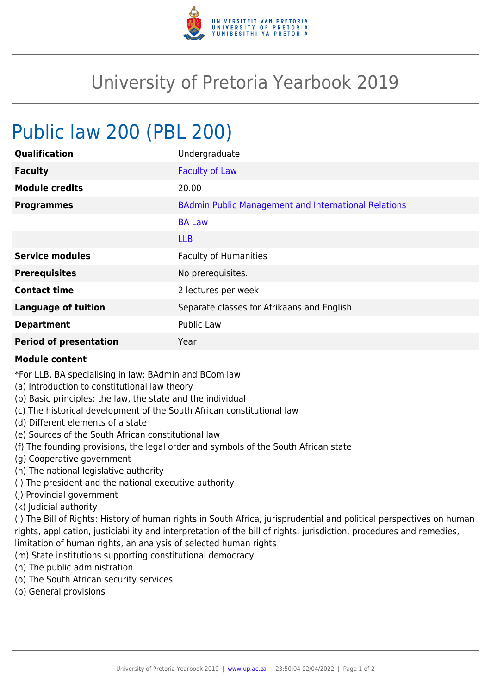

## University of Pretoria Yearbook 2019

## Public law 200 (PBL 200)

| Qualification                 | Undergraduate                                               |
|-------------------------------|-------------------------------------------------------------|
| <b>Faculty</b>                | <b>Faculty of Law</b>                                       |
| <b>Module credits</b>         | 20.00                                                       |
| <b>Programmes</b>             | <b>BAdmin Public Management and International Relations</b> |
|                               | <b>BA Law</b>                                               |
|                               | <b>LLB</b>                                                  |
| <b>Service modules</b>        | <b>Faculty of Humanities</b>                                |
| <b>Prerequisites</b>          | No prerequisites.                                           |
| <b>Contact time</b>           | 2 lectures per week                                         |
| <b>Language of tuition</b>    | Separate classes for Afrikaans and English                  |
| <b>Department</b>             | <b>Public Law</b>                                           |
| <b>Period of presentation</b> | Year                                                        |

## **Module content**

\*For LLB, BA specialising in law; BAdmin and BCom law

- (a) Introduction to constitutional law theory
- (b) Basic principles: the law, the state and the individual
- (c) The historical development of the South African constitutional law
- (d) Different elements of a state
- (e) Sources of the South African constitutional law
- (f) The founding provisions, the legal order and symbols of the South African state
- (g) Cooperative government
- (h) The national legislative authority
- (i) The president and the national executive authority
- (j) Provincial government
- (k) Judicial authority

(l) The Bill of Rights: History of human rights in South Africa, jurisprudential and political perspectives on human rights, application, justiciability and interpretation of the bill of rights, jurisdiction, procedures and remedies, limitation of human rights, an analysis of selected human rights

- (m) State institutions supporting constitutional democracy
- (n) The public administration
- (o) The South African security services
- (p) General provisions